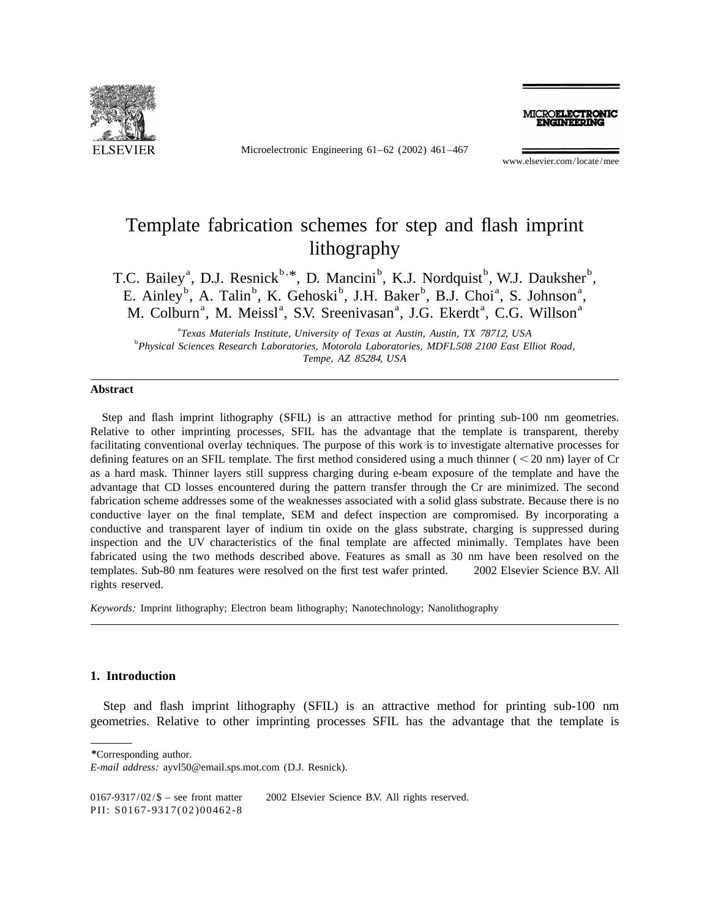

Microelectronic Engineering 61–62 (2002) 461–467

MICROELECTRONIC

www.elsevier.com/locate/mee

# Template fabrication schemes for step and flash imprint lithography

T.C. Bailey<sup>a</sup>, D.J. Resnick<sup>b, \*</sup>, D. Mancini<sup>b</sup>, K.J. Nordquist<sup>b</sup>, W.J. Dauksher<sup>b</sup>, E. Ainley<sup>b</sup>, A. Talin<sup>b</sup>, K. Gehoski<sup>b</sup>, J.H. Baker<sup>b</sup>, B.J. Choi<sup>a</sup>, S. Johnson<sup>a</sup>, M. Colburn<sup>a</sup>, M. Meissl<sup>a</sup>, S.V. Sreenivasan<sup>a</sup>, J.G. Ekerdt<sup>a</sup>, C.G. Willson<sup>a</sup>

a *Texas Materials Institute*, *University of Texas at Austin*, *Austin*, *TX* 78712, *USA* <sup>b</sup> *Physical Sciences Research Laboratories*, *Motorola Laboratories*, *MDFL*<sup>508</sup> <sup>2100</sup> *East Elliot Road*, *Tempe*, *AZ* 85284, *USA*

#### **Abstract**

Step and flash imprint lithography (SFIL) is an attractive method for printing sub-100 nm geometries. Relative to other imprinting processes, SFIL has the advantage that the template is transparent, thereby facilitating conventional overlay techniques. The purpose of this work is to investigate alternative processes for defining features on an SFIL template. The first method considered using a much thinner  $(< 20 \text{ nm})$  layer of Cr as a hard mask. Thinner layers still suppress charging during e-beam exposure of the template and have the advantage that CD losses encountered during the pattern transfer through the Cr are minimized. The second fabrication scheme addresses some of the weaknesses associated with a solid glass substrate. Because there is no conductive layer on the final template, SEM and defect inspection are compromised. By incorporating a conductive and transparent layer of indium tin oxide on the glass substrate, charging is suppressed during inspection and the UV characteristics of the final template are affected minimally. Templates have been fabricated using the two methods described above. Features as small as 30 nm have been resolved on the templates. Sub-80 nm features were resolved on the first test wafer printed.  $\degree$  2002 Elsevier Science B.V. All rights reserved.

*Keywords*: Imprint lithography; Electron beam lithography; Nanotechnology; Nanolithography

## **1. Introduction**

Step and flash imprint lithography (SFIL) is an attractive method for printing sub-100 nm geometries. Relative to other imprinting processes SFIL has the advantage that the template is

*\**Corresponding author.

0167-9317/02/ $\$  – see front matter  $\)$  2002 Elsevier Science B.V. All rights reserved.

PII: S0167-9317(02)00462-8

*E*-*mail address*: ayvl50@email.sps.mot.com (D.J. Resnick).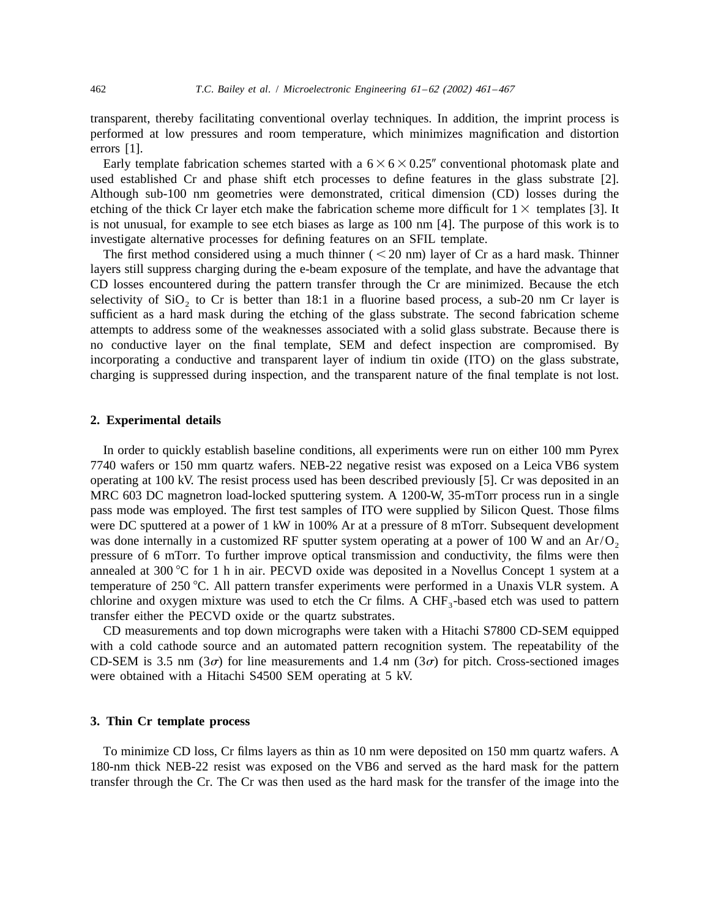transparent, thereby facilitating conventional overlay techniques. In addition, the imprint process is performed at low pressures and room temperature, which minimizes magnification and distortion errors [1].

Early template fabrication schemes started with a  $6 \times 6 \times 0.25$ " conventional photomask plate and used established Cr and phase shift etch processes to define features in the glass substrate [2]. Although sub-100 nm geometries were demonstrated, critical dimension (CD) losses during the etching of the thick Cr layer etch make the fabrication scheme more difficult for  $1 \times$  templates [3]. It is not unusual, for example to see etch biases as large as 100 nm [4]. The purpose of this work is to investigate alternative processes for defining features on an SFIL template.

The first method considered using a much thinner ( $\leq$  20 nm) layer of Cr as a hard mask. Thinner layers still suppress charging during the e-beam exposure of the template, and have the advantage that CD losses encountered during the pattern transfer through the Cr are minimized. Because the etch selectivity of  $SiO<sub>2</sub>$  to Cr is better than 18:1 in a fluorine based process, a sub-20 nm Cr layer is sufficient as a hard mask during the etching of the glass substrate. The second fabrication scheme attempts to address some of the weaknesses associated with a solid glass substrate. Because there is no conductive layer on the final template, SEM and defect inspection are compromised. By incorporating a conductive and transparent layer of indium tin oxide (ITO) on the glass substrate, charging is suppressed during inspection, and the transparent nature of the final template is not lost.

## **2. Experimental details**

In order to quickly establish baseline conditions, all experiments were run on either 100 mm Pyrex 7740 wafers or 150 mm quartz wafers. NEB-22 negative resist was exposed on a Leica VB6 system operating at 100 kV. The resist process used has been described previously [5]. Cr was deposited in an MRC 603 DC magnetron load-locked sputtering system. A 1200-W, 35-mTorr process run in a single pass mode was employed. The first test samples of ITO were supplied by Silicon Quest. Those films were DC sputtered at a power of 1 kW in 100% Ar at a pressure of 8 mTorr. Subsequent development was done internally in a customized RF sputter system operating at a power of 100 W and an  $Ar/O<sub>2</sub>$ pressure of 6 mTorr. To further improve optical transmission and conductivity, the films were then annealed at 300  $\degree$ C for 1 h in air. PECVD oxide was deposited in a Novellus Concept 1 system at a temperature of 250 °C. All pattern transfer experiments were performed in a Unaxis VLR system. A chlorine and oxygen mixture was used to etch the Cr films. A CHF<sub>3</sub>-based etch was used to pattern transfer either the PECVD oxide or the quartz substrates.

CD measurements and top down micrographs were taken with a Hitachi S7800 CD-SEM equipped with a cold cathode source and an automated pattern recognition system. The repeatability of the CD-SEM is 3.5 nm ( $3\sigma$ ) for line measurements and 1.4 nm ( $3\sigma$ ) for pitch. Cross-sectioned images were obtained with a Hitachi S4500 SEM operating at 5 kV.

### **3. Thin Cr template process**

To minimize CD loss, Cr films layers as thin as 10 nm were deposited on 150 mm quartz wafers. A 180-nm thick NEB-22 resist was exposed on the VB6 and served as the hard mask for the pattern transfer through the Cr. The Cr was then used as the hard mask for the transfer of the image into the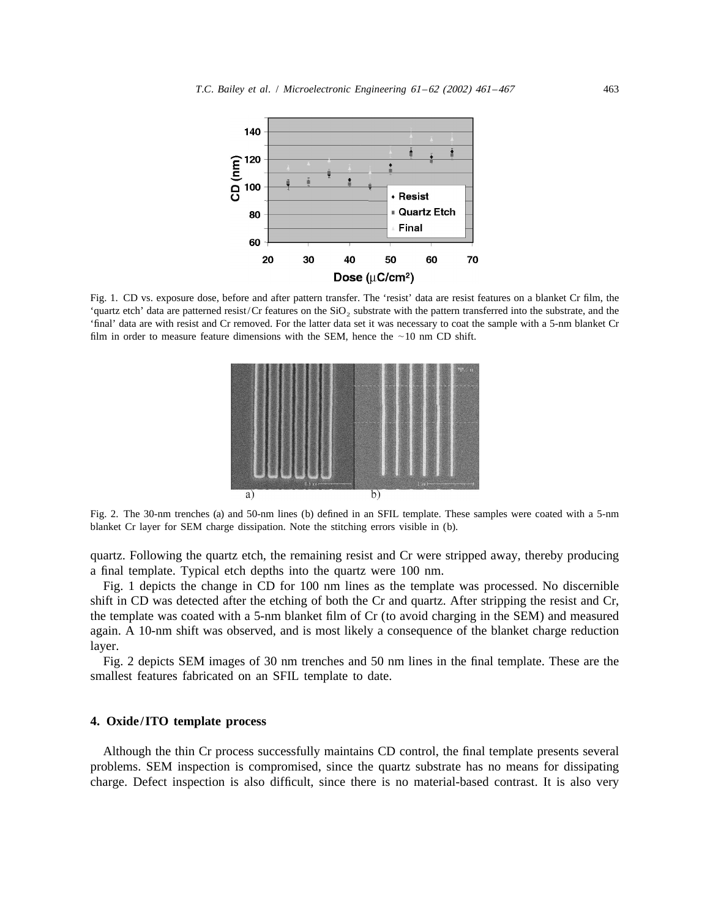

Fig. 1. CD vs. exposure dose, before and after pattern transfer. The 'resist' data are resist features on a blanket Cr film, the 'quartz etch' data are patterned resist/Cr features on the  $SiO<sub>2</sub>$  substrate with the pattern transferred into the substrate, and the 'final' data are with resist and Cr removed. For the latter data set it was necessary to coat the sample with a 5-nm blanket Cr film in order to measure feature dimensions with the SEM, hence the  $\sim$ 10 nm CD shift.



Fig. 2. The 30-nm trenches (a) and 50-nm lines (b) defined in an SFIL template. These samples were coated with a 5-nm blanket Cr layer for SEM charge dissipation. Note the stitching errors visible in (b).

quartz. Following the quartz etch, the remaining resist and Cr were stripped away, thereby producing a final template. Typical etch depths into the quartz were 100 nm.

Fig. 1 depicts the change in CD for 100 nm lines as the template was processed. No discernible shift in CD was detected after the etching of both the Cr and quartz. After stripping the resist and Cr, the template was coated with a 5-nm blanket film of Cr (to avoid charging in the SEM) and measured again. A 10-nm shift was observed, and is most likely a consequence of the blanket charge reduction layer.

Fig. 2 depicts SEM images of 30 nm trenches and 50 nm lines in the final template. These are the smallest features fabricated on an SFIL template to date.

# **4. Oxide/ITO template process**

Although the thin Cr process successfully maintains CD control, the final template presents several problems. SEM inspection is compromised, since the quartz substrate has no means for dissipating charge. Defect inspection is also difficult, since there is no material-based contrast. It is also very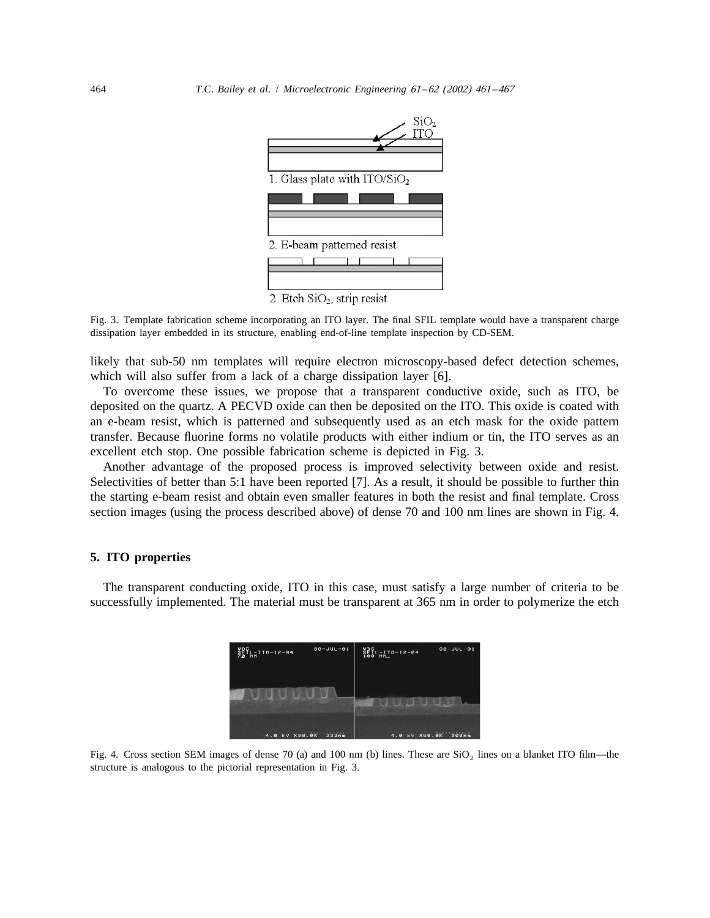

Fig. 3. Template fabrication scheme incorporating an ITO layer. The final SFIL template would have a transparent charge dissipation layer embedded in its structure, enabling end-of-line template inspection by CD-SEM.

likely that sub-50 nm templates will require electron microscopy-based defect detection schemes, which will also suffer from a lack of a charge dissipation layer [6].

To overcome these issues, we propose that a transparent conductive oxide, such as ITO, be deposited on the quartz. A PECVD oxide can then be deposited on the ITO. This oxide is coated with an e-beam resist, which is patterned and subsequently used as an etch mask for the oxide pattern transfer. Because fluorine forms no volatile products with either indium or tin, the ITO serves as an excellent etch stop. One possible fabrication scheme is depicted in Fig. 3.

Another advantage of the proposed process is improved selectivity between oxide and resist. Selectivities of better than 5:1 have been reported [7]. As a result, it should be possible to further thin the starting e-beam resist and obtain even smaller features in both the resist and final template. Cross section images (using the process described above) of dense 70 and 100 nm lines are shown in Fig. 4.

## **5. ITO properties**

The transparent conducting oxide, ITO in this case, must satisfy a large number of criteria to be successfully implemented. The material must be transparent at 365 nm in order to polymerize the etch

|                     | $30 - JUL - 01$ | $SETL-T0-12-84$ | $30 - JUL - 01$ |
|---------------------|-----------------|-----------------|-----------------|
|                     |                 |                 |                 |
| 4.0 kV X90.0K 333nm |                 | 4.0 KV X50.0K   | <i>seenm</i>    |

Fig. 4. Cross section SEM images of dense 70 (a) and 100 nm (b) lines. These are  $SiO<sub>2</sub>$  lines on a blanket ITO film—the structure is analogous to the pictorial representation in Fig. 3.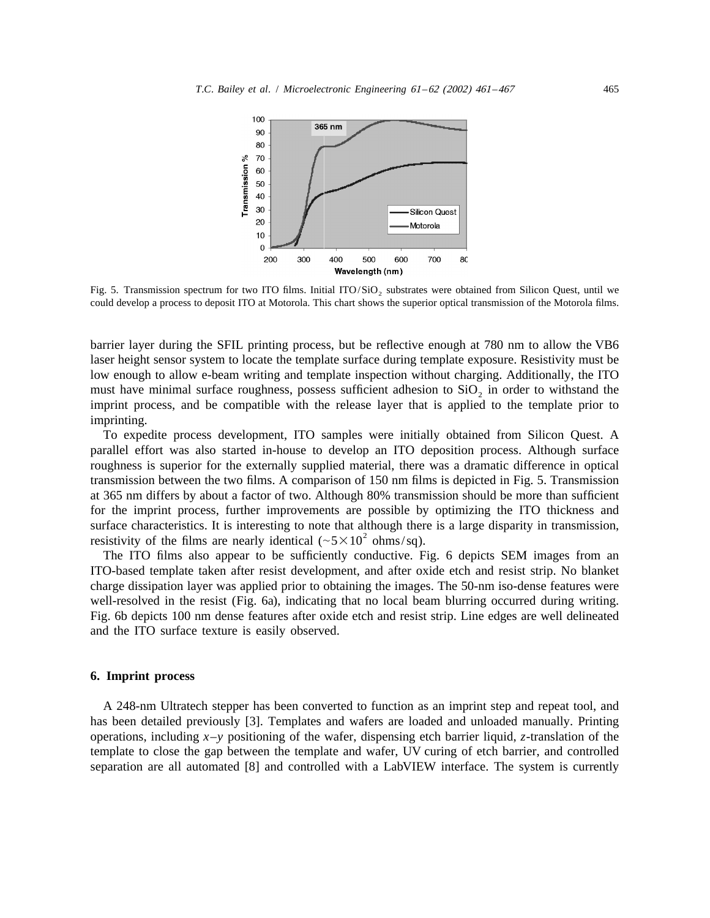

Fig. 5. Transmission spectrum for two ITO films. Initial ITO/SiO<sub>2</sub> substrates were obtained from Silicon Quest, until we could develop a process to deposit ITO at Motorola. This chart shows the superior optical transmission of the Motorola films.

barrier layer during the SFIL printing process, but be reflective enough at 780 nm to allow the VB6 laser height sensor system to locate the template surface during template exposure. Resistivity must be low enough to allow e-beam writing and template inspection without charging. Additionally, the ITO must have minimal surface roughness, possess sufficient adhesion to  $SiO<sub>2</sub>$  in order to withstand the imprint process, and be compatible with the release layer that is applied to the template prior to imprinting.

To expedite process development, ITO samples were initially obtained from Silicon Quest. A parallel effort was also started in-house to develop an ITO deposition process. Although surface roughness is superior for the externally supplied material, there was a dramatic difference in optical transmission between the two films. A comparison of 150 nm films is depicted in Fig. 5. Transmission at 365 nm differs by about a factor of two. Although 80% transmission should be more than sufficient for the imprint process, further improvements are possible by optimizing the ITO thickness and surface characteristics. It is interesting to note that although there is a large disparity in transmission, resistivity of the films are nearly identical ( $\sim 5 \times 10^2$  ohms/sq).

The ITO films also appear to be sufficiently conductive. Fig. 6 depicts SEM images from an ITO-based template taken after resist development, and after oxide etch and resist strip. No blanket charge dissipation layer was applied prior to obtaining the images. The 50-nm iso-dense features were well-resolved in the resist (Fig. 6a), indicating that no local beam blurring occurred during writing. Fig. 6b depicts 100 nm dense features after oxide etch and resist strip. Line edges are well delineated and the ITO surface texture is easily observed.

#### **6. Imprint process**

A 248-nm Ultratech stepper has been converted to function as an imprint step and repeat tool, and has been detailed previously [3]. Templates and wafers are loaded and unloaded manually. Printing operations, including *x*–*y* positioning of the wafer, dispensing etch barrier liquid, *z*-translation of the template to close the gap between the template and wafer, UV curing of etch barrier, and controlled separation are all automated [8] and controlled with a LabVIEW interface. The system is currently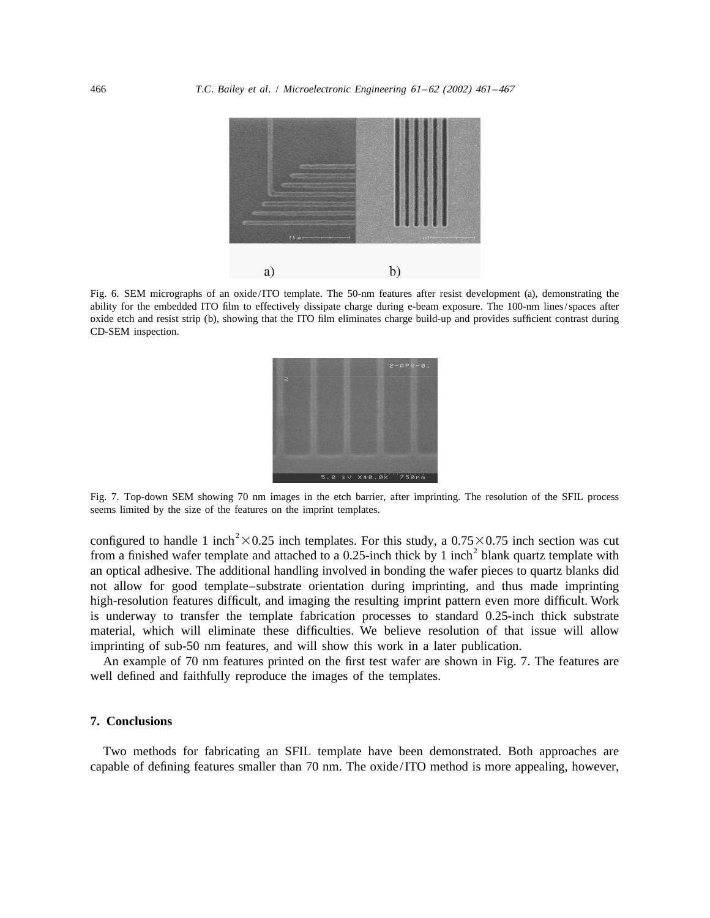

Fig. 6. SEM micrographs of an oxide/ITO template. The 50-nm features after resist development (a), demonstrating the ability for the embedded ITO film to effectively dissipate charge during e-beam exposure. The 100-nm lines/spaces after oxide etch and resist strip (b), showing that the ITO film eliminates charge build-up and provides sufficient contrast during CD-SEM inspection.



Fig. 7. Top-down SEM showing 70 nm images in the etch barrier, after imprinting. The resolution of the SFIL process seems limited by the size of the features on the imprint templates.

configured to handle 1 inch<sup>2</sup>×0.25 inch templates. For this study, a 0.75×0.75 inch section was cut from a finished wafer template and attached to a 0.25-inch thick by 1 inch<sup>2</sup> blank quartz template with an optical adhesive. The additional handling involved in bonding the wafer pieces to quartz blanks did not allow for good template–substrate orientation during imprinting, and thus made imprinting high-resolution features difficult, and imaging the resulting imprint pattern even more difficult. Work is underway to transfer the template fabrication processes to standard 0.25-inch thick substrate material, which will eliminate these difficulties. We believe resolution of that issue will allow imprinting of sub-50 nm features, and will show this work in a later publication.

An example of 70 nm features printed on the first test wafer are shown in Fig. 7. The features are well defined and faithfully reproduce the images of the templates.

#### **7. Conclusions**

Two methods for fabricating an SFIL template have been demonstrated. Both approaches are capable of defining features smaller than 70 nm. The oxide/ITO method is more appealing, however,